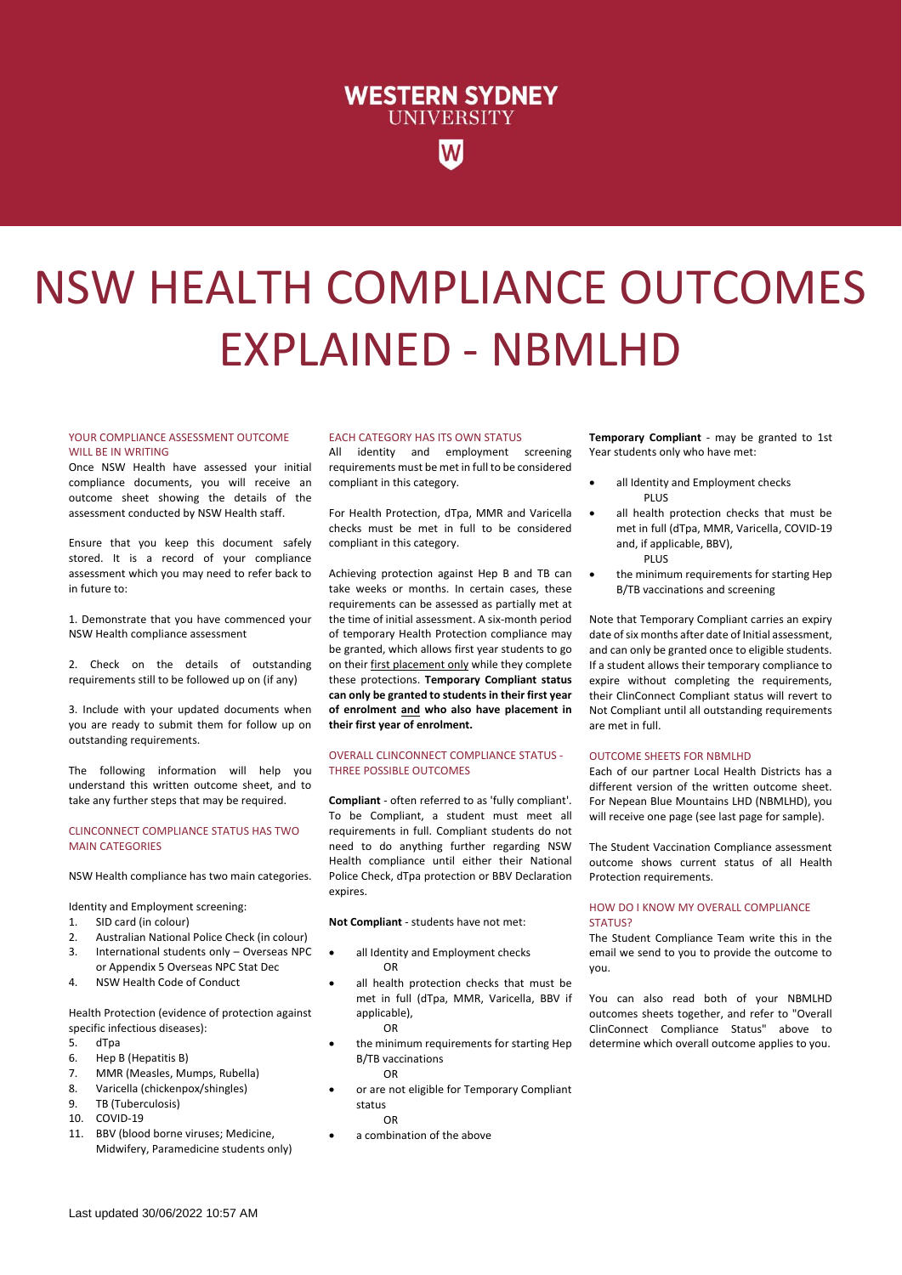# **WESTERN SYDNEY UNIVERSITY**

# NSW HEALTH COMPLIANCE OUTCOMES EXPLAINED - NBMLHD

#### YOUR COMPLIANCE ASSESSMENT OUTCOME WILL BE IN WRITING

Once NSW Health have assessed your initial compliance documents, you will receive an outcome sheet showing the details of the assessment conducted by NSW Health staff.

Ensure that you keep this document safely stored. It is a record of your compliance assessment which you may need to refer back to in future to:

1. Demonstrate that you have commenced your NSW Health compliance assessment

2. Check on the details of outstanding requirements still to be followed up on (if any)

3. Include with your updated documents when you are ready to submit them for follow up on outstanding requirements.

The following information will help you understand this written outcome sheet, and to take any further steps that may be required.

#### CLINCONNECT COMPLIANCE STATUS HAS TWO MAIN CATEGORIES

NSW Health compliance has two main categories.

Identity and Employment screening:

- 1. SID card (in colour)
- 2. Australian National Police Check (in colour)
- 3. International students only Overseas NPC or Appendix 5 Overseas NPC Stat Dec
- 4. NSW Health Code of Conduct

Health Protection (evidence of protection against specific infectious diseases):

- 5. dTpa
- 6. Hep B (Hepatitis B)
- 7. MMR (Measles, Mumps, Rubella)
- 8. Varicella (chickenpox/shingles)
- 9. TB (Tuberculosis)
- 10. COVID-19
- 11. BBV (blood borne viruses; Medicine, Midwifery, Paramedicine students only)

#### EACH CATEGORY HAS ITS OWN STATUS

All identity and employment screening requirements must be met in full to be considered compliant in this category.

For Health Protection, dTpa, MMR and Varicella checks must be met in full to be considered compliant in this category.

Achieving protection against Hep B and TB can take weeks or months. In certain cases, these requirements can be assessed as partially met at the time of initial assessment. A six-month period of temporary Health Protection compliance may be granted, which allows first year students to go on their first placement only while they complete these protections. **Temporary Compliant status can only be granted to students in their first year of enrolment and who also have placement in their first year of enrolment.**

#### OVERALL CLINCONNECT COMPLIANCE STATUS - THREE POSSIBLE OUTCOMES

**Compliant** - often referred to as 'fully compliant'. To be Compliant, a student must meet all requirements in full. Compliant students do not need to do anything further regarding NSW Health compliance until either their National Police Check, dTpa protection or BBV Declaration expires.

**Not Compliant** - students have not met:

- all Identity and Employment checks OR
- all health protection checks that must be met in full (dTpa, MMR, Varicella, BBV if applicable), OR
- the minimum requirements for starting Hep B/TB vaccinations OR
- or are not eligible for Temporary Compliant status OR
- a combination of the above

**Temporary Compliant** - may be granted to 1st Year students only who have met:

- all Identity and Employment checks PLUS
- all health protection checks that must be met in full (dTpa, MMR, Varicella, COVID-19 and, if applicable, BBV), PLUS
- the minimum requirements for starting Hep B/TB vaccinations and screening

Note that Temporary Compliant carries an expiry date of six months after date of Initial assessment, and can only be granted once to eligible students. If a student allows their temporary compliance to expire without completing the requirements, their ClinConnect Compliant status will revert to Not Compliant until all outstanding requirements are met in full.

### OUTCOME SHEETS FOR NBMLHD

Each of our partner Local Health Districts has a different version of the written outcome sheet. For Nepean Blue Mountains LHD (NBMLHD), you will receive one page (see last page for sample).

The Student Vaccination Compliance assessment outcome shows current status of all Health Protection requirements.

## HOW DO I KNOW MY OVERALL COMPLIANCE STATUS?

The Student Compliance Team write this in the email we send to you to provide the outcome to you.

You can also read both of your NBMLHD outcomes sheets together, and refer to "Overall ClinConnect Compliance Status" above to determine which overall outcome applies to you.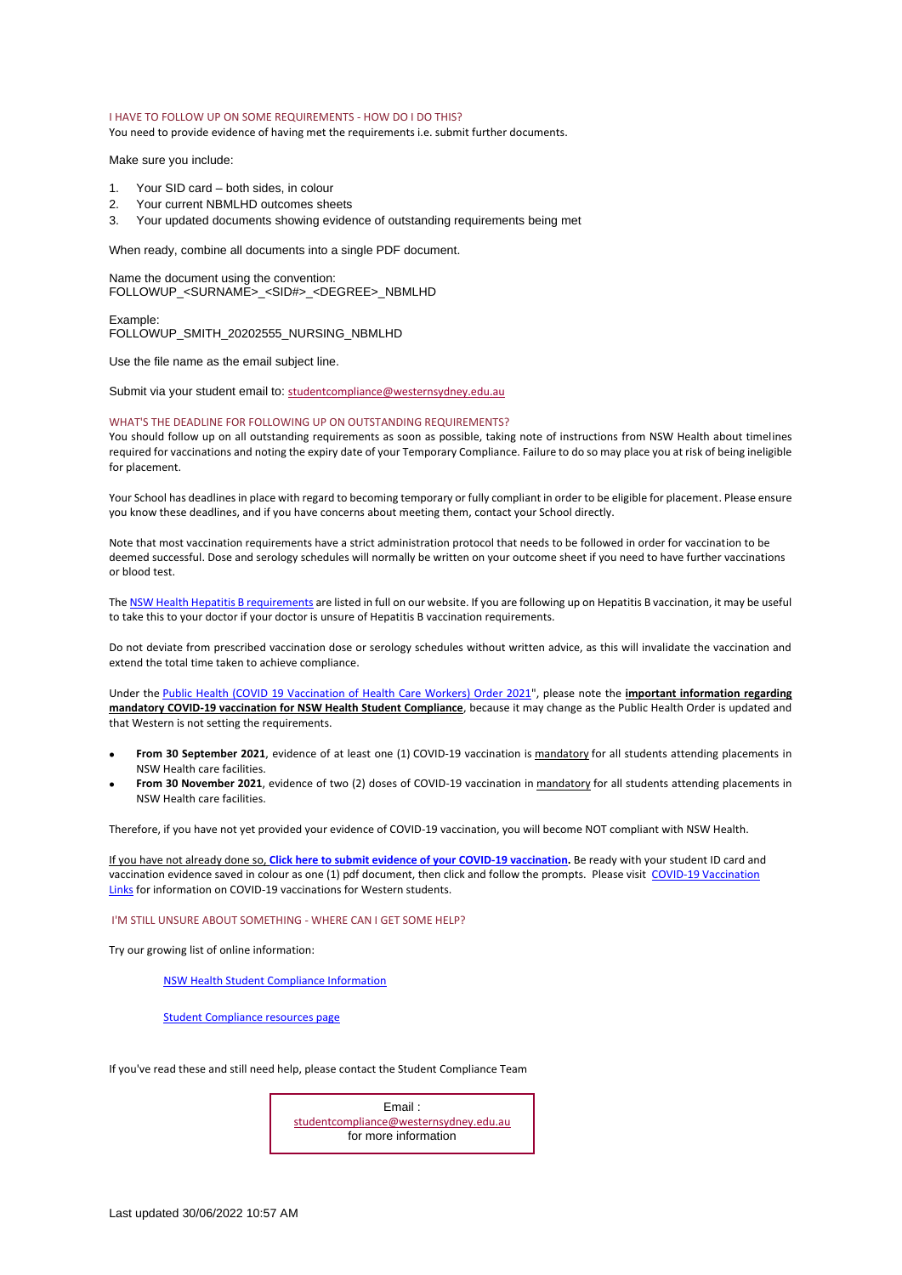#### I HAVE TO FOLLOW UP ON SOME REQUIREMENTS - HOW DO I DO THIS?

You need to provide evidence of having met the requirements i.e. submit further documents.

Make sure you include:

- 1. Your SID card both sides, in colour
- 2. Your current NBMLHD outcomes sheets
- 3. Your updated documents showing evidence of outstanding requirements being met

When ready, combine all documents into a single PDF document.

Name the document using the convention: FOLLOWUP\_<SURNAME>\_<SID#>\_<DEGREE>\_NBMLHD

Example: FOLLOWUP\_SMITH\_20202555\_NURSING\_NBMLHD

Use the file name as the email subject line.

Submit via your student email to: [studentcompliance@westernsydney.edu.au](mailto:studentcompliance@westernsydney.edu.au)

#### WHAT'S THE DEADLINE FOR FOLLOWING UP ON OUTSTANDING REQUIREMENTS?

You should follow up on all outstanding requirements as soon as possible, taking note of instructions from NSW Health about timelines required for vaccinations and noting the expiry date of your Temporary Compliance. Failure to do so may place you at risk of being ineligible for placement.

Your School has deadlines in place with regard to becoming temporary or fully compliant in order to be eligible for placement. Please ensure you know these deadlines, and if you have concerns about meeting them, contact your School directly.

Note that most vaccination requirements have a strict administration protocol that needs to be followed in order for vaccination to be deemed successful. Dose and serology schedules will normally be written on your outcome sheet if you need to have further vaccinations or blood test.

Th[e NSW Health Hepatitis B requirements](https://www.westernsydney.edu.au/__data/assets/pdf_file/0008/1656962/Student_Support_Doc_-_NSWH_Hepatitis_B_Requirements_2020.05.pdf) are listed in full on our website. If you are following up on Hepatitis B vaccination, it may be useful to take this to your doctor if your doctor is unsure of Hepatitis B vaccination requirements.

Do not deviate from prescribed vaccination dose or serology schedules without written advice, as this will invalidate the vaccination and extend the total time taken to achieve compliance.

Under the [Public Health \(COVID 19 Vaccination of Health Care Workers\) Order 2021"](https://gazette.legislation.nsw.gov.au/so/download.w3p?id=Gazette_2021_2021-411.pdf), please note the **important information regarding mandatory COVID-19 vaccination for NSW Health Student Compliance**, because it may change as the Public Health Order is updated and that Western is not setting the requirements.

- **From 30 September 2021**, evidence of at least one (1) COVID-19 vaccination is mandatory for all students attending placements in NSW Health care facilities.
- **From 30 November 2021**, evidence of two (2) doses of COVID-19 vaccination in mandatory for all students attending placements in NSW Health care facilities.

Therefore, if you have not yet provided your evidence of COVID-19 vaccination, you will become NOT compliant with NSW Health.

If you have not already done so, **[Click here to submit evidence of your COVID](https://wsu.service-now.com/student?id=wsu_cat_item&sys_id=b761759d1b5bd050c13a0edddc4bcbe3&sysparm_category=3c644544dbe39c504f58e434059619b1)-19 vaccination.** Be ready with your student ID card and vaccination evidence saved in colour as one (1) pdf document, then click and follow the prompts. Please visit COVID-19 Vaccination [Links](http://www.westernsydney.edu.au/placements_hub/placements_hub/covid19_vaccinations) for information on COVID-19 vaccinations for Western students.

#### I'M STILL UNSURE ABOUT SOMETHING - WHERE CAN I GET SOME HELP?

Try our growing list of online information:

[NSW Health Student Compliance Information](https://www.westernsydney.edu.au/__data/assets/pdf_file/0007/1647655/NSWH_Student_Compliance_Information_Booklet_2021_v3.5.pdf)

[Student Compliance resources page](https://www.westernsydney.edu.au/learning_futures/home/placements_hub/student_compliance/general_resources)

If you've read these and still need help, please contact the Student Compliance Team

Email : [studentcompliance@westernsydney.edu.au](mailto:studentcompliance@westernsydney.edu.au) for more information